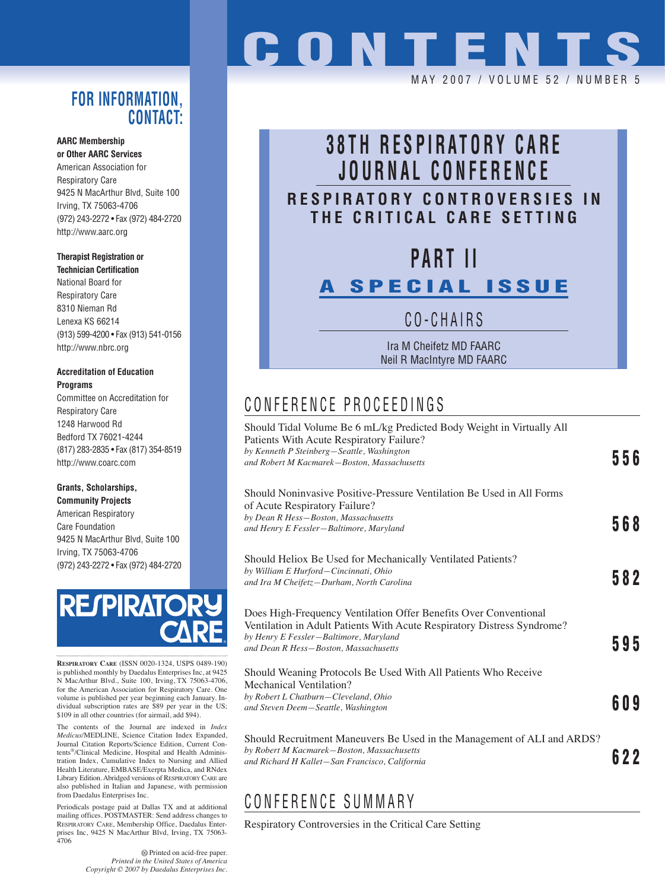### **FOR INFORMATION, CONTACT:**

#### **AARC Membership or Other AARC Services**

American Association for Respiratory Care 9425 N MacArthur Blvd, Suite 100 Irving, TX 75063-4706 (972) 243-2272 • Fax (972) 484-2720 http://www.aarc.org

#### **Therapist Registration or**

**Technician Certification** National Board for Respiratory Care 8310 Nieman Rd Lenexa KS 66214 (913) 599-4200 • Fax (913) 541-0156 http://www.nbrc.org

#### **Accreditation of Education Programs**

Committee on Accreditation for Respiratory Care 1248 Harwood Rd Bedford TX 76021-4244 (817) 283-2835 • Fax (817) 354-8519 http://www.coarc.com

#### **Grants, Scholarships, Community Projects**

American Respiratory Care Foundation 9425 N MacArthur Blvd, Suite 100 Irving, TX 75063-4706 (972) 243-2272 • Fax (972) 484-2720



**RESPIRATORY CARE** (ISSN 0020-1324, USPS 0489-190) is published monthly by Daedalus Enterprises Inc, at 9425 N MacArthur Blvd., Suite 100, Irving, TX 75063-4706, for the American Association for Respiratory Care. One volume is published per year beginning each January. Individual subscription rates are \$89 per year in the US; \$109 in all other countries (for airmail, add \$94).

The contents of the Journal are indexed in *Index Medicus*/MEDLINE, Science Citation Index Expanded, Journal Citation Reports/Science Edition, Current Contents®/Clinical Medicine, Hospital and Health Administration Index, Cumulative Index to Nursing and Allied Health Literature, EMBASE/Exerpta Medica, and RNdex Library Edition. Abridged versions of RESPIRATORY CARE are also published in Italian and Japanese, with permission from Daedalus Enterprises Inc.

Periodicals postage paid at Dallas TX and at additional mailing offices. POSTMASTER: Send address changes to RESPIRATORY CARE, Membership Office, Daedalus Enterprises Inc, 9425 N MacArthur Blvd, Irving, TX 75063- 4706

> Printed on acid-free paper. *Printed in the United States of America Copyright © 2007 by Daedalus Enterprises Inc.*

# **CONTENTS**

#### MAY 2007 / VOLUME 52 / NUMBE

## **38TH RESPIRATORY CARE JOURNAL CONFERENCE RESPIRATORY CONTROVERSIES IN THE CRITICAL CARE SETTING**

## **PART II**

## **A SPECIAL ISSUE**

CO-CHAIRS

Ira M Cheifetz MD FAARC Neil R MacIntyre MD FAARC

## CONFERENCE PROCEEDINGS

| Should Tidal Volume Be 6 mL/kg Predicted Body Weight in Virtually All<br>Patients With Acute Respiratory Failure?<br>by Kenneth P Steinberg-Seattle, Washington<br>and Robert M Kacmarek-Boston, Massachusetts                 | 556 |
|--------------------------------------------------------------------------------------------------------------------------------------------------------------------------------------------------------------------------------|-----|
| Should Noninvasive Positive-Pressure Ventilation Be Used in All Forms<br>of Acute Respiratory Failure?<br>by Dean R Hess-Boston, Massachusetts<br>and Henry E Fessler-Baltimore, Maryland                                      | 568 |
| Should Heliox Be Used for Mechanically Ventilated Patients?<br>by William E Hurford-Cincinnati, Ohio<br>and Ira M Cheifetz-Durham, North Carolina                                                                              | 582 |
| Does High-Frequency Ventilation Offer Benefits Over Conventional<br>Ventilation in Adult Patients With Acute Respiratory Distress Syndrome?<br>by Henry E Fessler-Baltimore, Maryland<br>and Dean R Hess-Boston, Massachusetts | 595 |
| Should Weaning Protocols Be Used With All Patients Who Receive<br>Mechanical Ventilation?<br>by Robert L Chatburn-Cleveland, Ohio<br>and Steven Deem-Seattle, Washington                                                       | 609 |
| Should Recruitment Maneuvers Be Used in the Management of ALI and ARDS?<br>by Robert M Kacmarek-Boston, Massachusetts<br>and Richard H Kallet–San Francisco, California                                                        | 622 |

## CONFERENCE SUMMARY

Respiratory Controversies in the Critical Care Setting